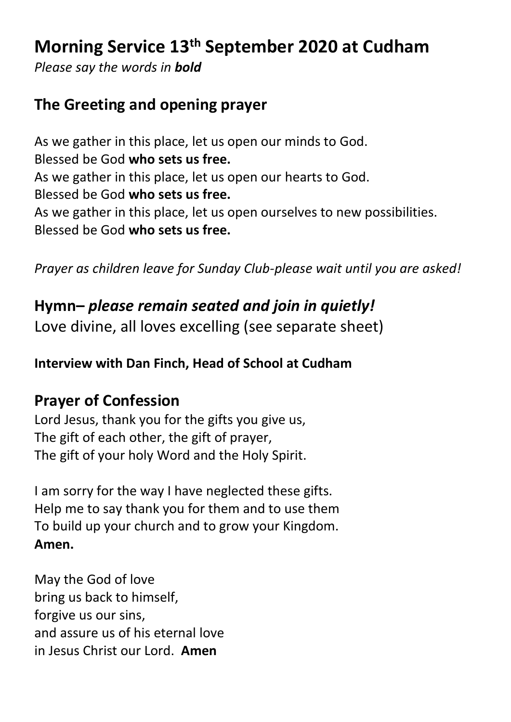# **Morning Service 13th September 2020 at Cudham**

*Please say the words in bold*

### **The Greeting and opening prayer**

As we gather in this place, let us open our minds to God. Blessed be God **who sets us free.** As we gather in this place, let us open our hearts to God. Blessed be God **who sets us free.** As we gather in this place, let us open ourselves to new possibilities. Blessed be God **who sets us free.**

*Prayer as children leave for Sunday Club-please wait until you are asked!*

## **Hymn–** *please remain seated and join in quietly!*

Love divine, all loves excelling (see separate sheet)

**Interview with Dan Finch, Head of School at Cudham**

### **Prayer of Confession**

Lord Jesus, thank you for the gifts you give us, The gift of each other, the gift of prayer, The gift of your holy Word and the Holy Spirit.

I am sorry for the way I have neglected these gifts. Help me to say thank you for them and to use them To build up your church and to grow your Kingdom. **Amen.**

May the God of love bring us back to himself, forgive us our sins, and assure us of his eternal love in Jesus Christ our Lord. **Amen**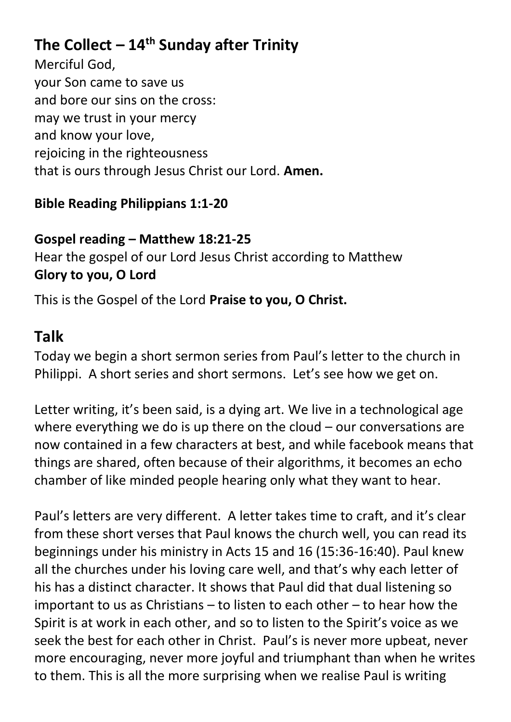## **The Collect – 14 th Sunday after Trinity**

Merciful God, your Son came to save us and bore our sins on the cross: may we trust in your mercy and know your love, rejoicing in the righteousness that is ours through Jesus Christ our Lord. **Amen.**

### **Bible Reading Philippians 1:1-20**

#### **Gospel reading – Matthew 18:21-25** Hear the gospel of our Lord Jesus Christ according to Matthew **Glory to you, O Lord**

This is the Gospel of the Lord **Praise to you, O Christ.**

## **Talk**

Today we begin a short sermon series from Paul's letter to the church in Philippi. A short series and short sermons. Let's see how we get on.

Letter writing, it's been said, is a dying art. We live in a technological age where everything we do is up there on the cloud – our conversations are now contained in a few characters at best, and while facebook means that things are shared, often because of their algorithms, it becomes an echo chamber of like minded people hearing only what they want to hear.

Paul's letters are very different. A letter takes time to craft, and it's clear from these short verses that Paul knows the church well, you can read its beginnings under his ministry in Acts 15 and 16 (15:36-16:40). Paul knew all the churches under his loving care well, and that's why each letter of his has a distinct character. It shows that Paul did that dual listening so important to us as Christians – to listen to each other – to hear how the Spirit is at work in each other, and so to listen to the Spirit's voice as we seek the best for each other in Christ. Paul's is never more upbeat, never more encouraging, never more joyful and triumphant than when he writes to them. This is all the more surprising when we realise Paul is writing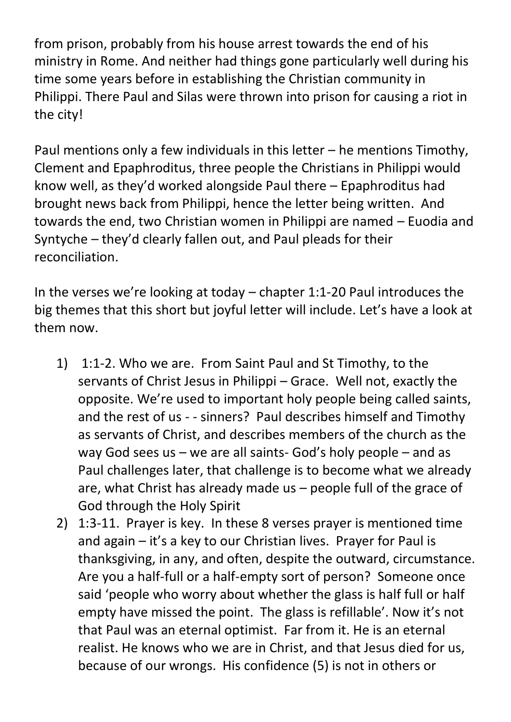from prison, probably from his house arrest towards the end of his ministry in Rome. And neither had things gone particularly well during his time some years before in establishing the Christian community in Philippi. There Paul and Silas were thrown into prison for causing a riot in the city!

Paul mentions only a few individuals in this letter – he mentions Timothy, Clement and Epaphroditus, three people the Christians in Philippi would know well, as they'd worked alongside Paul there – Epaphroditus had brought news back from Philippi, hence the letter being written. And towards the end, two Christian women in Philippi are named – Euodia and Syntyche – they'd clearly fallen out, and Paul pleads for their reconciliation.

In the verses we're looking at today – chapter 1:1-20 Paul introduces the big themes that this short but joyful letter will include. Let's have a look at them now.

- 1) 1:1-2. Who we are. From Saint Paul and St Timothy, to the servants of Christ Jesus in Philippi – Grace. Well not, exactly the opposite. We're used to important holy people being called saints, and the rest of us - - sinners? Paul describes himself and Timothy as servants of Christ, and describes members of the church as the way God sees us – we are all saints- God's holy people – and as Paul challenges later, that challenge is to become what we already are, what Christ has already made us – people full of the grace of God through the Holy Spirit
- 2) 1:3-11. Prayer is key. In these 8 verses prayer is mentioned time and again – it's a key to our Christian lives. Prayer for Paul is thanksgiving, in any, and often, despite the outward, circumstance. Are you a half-full or a half-empty sort of person? Someone once said 'people who worry about whether the glass is half full or half empty have missed the point. The glass is refillable'. Now it's not that Paul was an eternal optimist. Far from it. He is an eternal realist. He knows who we are in Christ, and that Jesus died for us, because of our wrongs. His confidence (5) is not in others or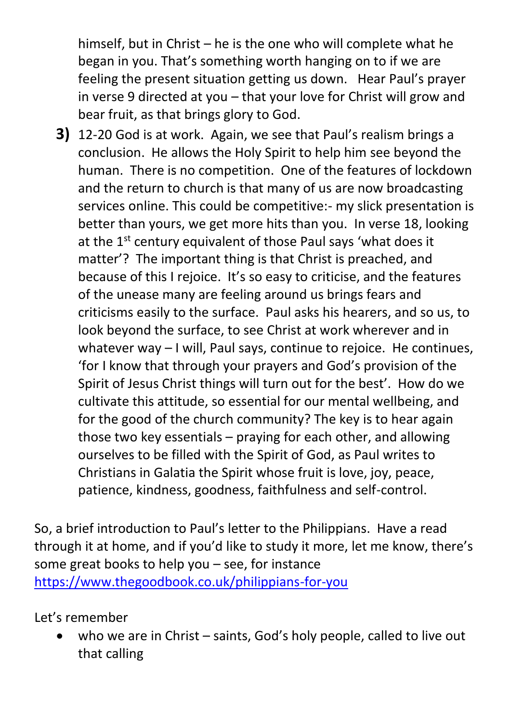himself, but in Christ – he is the one who will complete what he began in you. That's something worth hanging on to if we are feeling the present situation getting us down. Hear Paul's prayer in verse 9 directed at you – that your love for Christ will grow and bear fruit, as that brings glory to God.

**3)** 12-20 God is at work. Again, we see that Paul's realism brings a conclusion. He allows the Holy Spirit to help him see beyond the human. There is no competition. One of the features of lockdown and the return to church is that many of us are now broadcasting services online. This could be competitive:- my slick presentation is better than yours, we get more hits than you. In verse 18, looking at the 1<sup>st</sup> century equivalent of those Paul says 'what does it matter'? The important thing is that Christ is preached, and because of this I rejoice. It's so easy to criticise, and the features of the unease many are feeling around us brings fears and criticisms easily to the surface. Paul asks his hearers, and so us, to look beyond the surface, to see Christ at work wherever and in whatever way – I will, Paul says, continue to rejoice. He continues, 'for I know that through your prayers and God's provision of the Spirit of Jesus Christ things will turn out for the best'. How do we cultivate this attitude, so essential for our mental wellbeing, and for the good of the church community? The key is to hear again those two key essentials – praying for each other, and allowing ourselves to be filled with the Spirit of God, as Paul writes to Christians in Galatia the Spirit whose fruit is love, joy, peace, patience, kindness, goodness, faithfulness and self-control.

So, a brief introduction to Paul's letter to the Philippians. Have a read through it at home, and if you'd like to study it more, let me know, there's some great books to help you – see, for instance <https://www.thegoodbook.co.uk/philippians-for-you>

Let's remember

• who we are in Christ – saints, God's holy people, called to live out that calling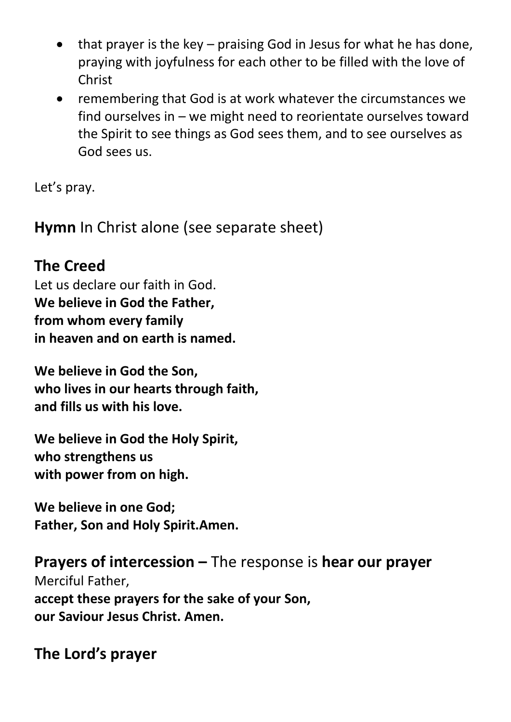- $\bullet$  that prayer is the key praising God in Jesus for what he has done. praying with joyfulness for each other to be filled with the love of Christ
- remembering that God is at work whatever the circumstances we find ourselves in – we might need to reorientate ourselves toward the Spirit to see things as God sees them, and to see ourselves as God sees us.

Let's pray.

**Hymn** In Christ alone (see separate sheet)

## **The Creed**

Let us declare our faith in God. **We believe in God the Father, from whom every family in heaven and on earth is named.**

**We believe in God the Son, who lives in our hearts through faith, and fills us with his love.**

**We believe in God the Holy Spirit, who strengthens us with power from on high.**

**We believe in one God; Father, Son and Holy Spirit.Amen.**

**Prayers of intercession –** The response is **hear our prayer** Merciful Father, **accept these prayers for the sake of your Son, our Saviour Jesus Christ. Amen.**

**The Lord's prayer**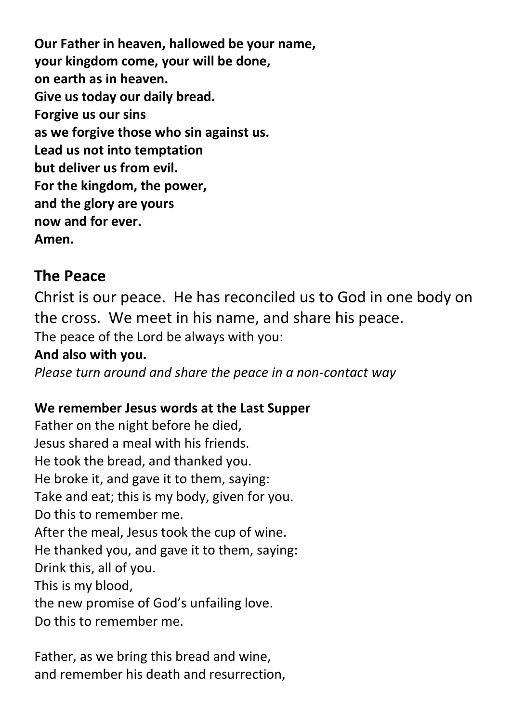**Our Father in heaven, hallowed be your name, your kingdom come, your will be done, on earth as in heaven. Give us today our daily bread. Forgive us our sins as we forgive those who sin against us. Lead us not into temptation but deliver us from evil. For the kingdom, the power, and the glory are yours now and for ever. Amen.**

### **The Peace**

Christ is our peace. He has reconciled us to God in one body on the cross. We meet in his name, and share his peace. The peace of the Lord be always with you:

#### **And also with you.**

*Please turn around and share the peace in a non-contact way* 

#### **We remember Jesus words at the Last Supper**

Father on the night before he died, Jesus shared a meal with his friends. He took the bread, and thanked you. He broke it, and gave it to them, saying: Take and eat; this is my body, given for you. Do this to remember me. After the meal, Jesus took the cup of wine. He thanked you, and gave it to them, saying: Drink this, all of you. This is my blood, the new promise of God's unfailing love. Do this to remember me.

Father, as we bring this bread and wine, and remember his death and resurrection,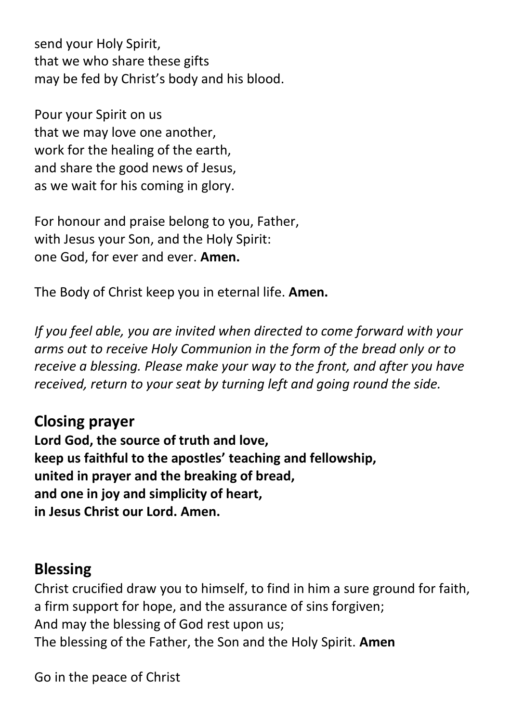send your Holy Spirit, that we who share these gifts may be fed by Christ's body and his blood.

Pour your Spirit on us that we may love one another, work for the healing of the earth, and share the good news of Jesus, as we wait for his coming in glory.

For honour and praise belong to you, Father, with Jesus your Son, and the Holy Spirit: one God, for ever and ever. **Amen.**

The Body of Christ keep you in eternal life. **Amen.**

*If you feel able, you are invited when directed to come forward with your arms out to receive Holy Communion in the form of the bread only or to receive a blessing. Please make your way to the front, and after you have received, return to your seat by turning left and going round the side.*

**Closing prayer Lord God, the source of truth and love, keep us faithful to the apostles' teaching and fellowship, united in prayer and the breaking of bread, and one in joy and simplicity of heart, in Jesus Christ our Lord. Amen.**

### **Blessing**

Christ crucified draw you to himself, to find in him a sure ground for faith, a firm support for hope, and the assurance of sins forgiven; And may the blessing of God rest upon us; The blessing of the Father, the Son and the Holy Spirit. **Amen**

Go in the peace of Christ